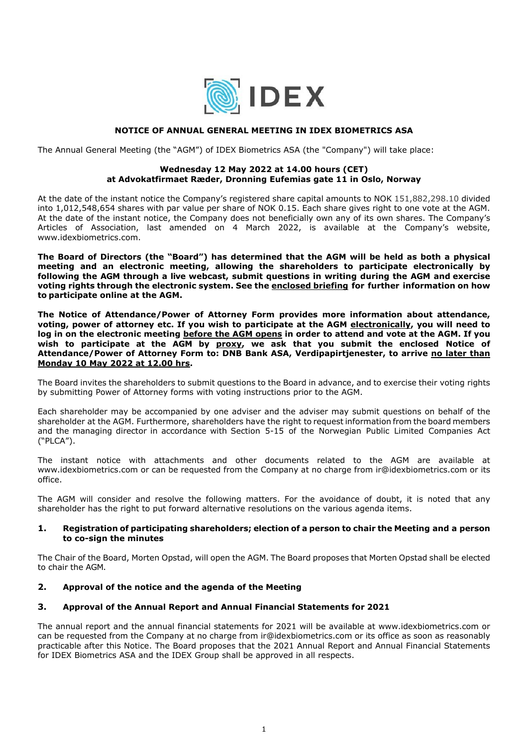

# **NOTICE OF ANNUAL GENERAL MEETING IN IDEX BIOMETRICS ASA**

The Annual General Meeting (the "AGM") of IDEX Biometrics ASA (the "Company") will take place:

#### **Wednesday 12 May 2022 at 14.00 hours (CET) at Advokatfirmaet Ræder, Dronning Eufemias gate 11 in Oslo, Norway**

At the date of the instant notice the Company's registered share capital amounts to NOK 151,882,298.10 divided into 1,012,548,654 shares with par value per share of NOK 0.15. Each share gives right to one vote at the AGM. At the date of the instant notice, the Company does not beneficially own any of its own shares. The Company's Articles of Association, last amended on 4 March 2022, is available at the Company's website, www.idexbiometrics.com.

**The Board of Directors (the "Board") has determined that the AGM will be held as both a physical meeting and an electronic meeting, allowing the shareholders to participate electronically by following the AGM through a live webcast, submit questions in writing during the AGM and exercise voting rights through the electronic system. See the enclosed briefing for further information on how to participate online at the AGM.** 

**The Notice of Attendance/Power of Attorney Form provides more information about attendance, voting, power of attorney etc. If you wish to participate at the AGM electronically, you will need to log in on the electronic meeting before the AGM opens in order to attend and vote at the AGM. If you wish to participate at the AGM by proxy, we ask that you submit the enclosed Notice of Attendance/Power of Attorney Form to: DNB Bank ASA, Verdipapirtjenester, to arrive no later than Monday 10 May 2022 at 12.00 hrs.** 

The Board invites the shareholders to submit questions to the Board in advance, and to exercise their voting rights by submitting Power of Attorney forms with voting instructions prior to the AGM.

Each shareholder may be accompanied by one adviser and the adviser may submit questions on behalf of the shareholder at the AGM. Furthermore, shareholders have the right to request information from the board members and the managing director in accordance with Section 5-15 of the Norwegian Public Limited Companies Act ("PLCA").

The instant notice with attachments and other documents related to the AGM are available at www.idexbiometrics.com or can be requested from the Company at no charge from ir@idexbiometrics.com or its office.

The AGM will consider and resolve the following matters. For the avoidance of doubt, it is noted that any shareholder has the right to put forward alternative resolutions on the various agenda items.

#### **1. Registration of participating shareholders; election of a person to chair the Meeting and a person to co-sign the minutes**

The Chair of the Board, Morten Opstad, will open the AGM. The Board proposes that Morten Opstad shall be elected to chair the AGM.

# **2. Approval of the notice and the agenda of the Meeting**

#### **3. Approval of the Annual Report and Annual Financial Statements for 2021**

The annual report and the annual financial statements for 2021 will be available at www.idexbiometrics.com or can be requested from the Company at no charge from ir@idexbiometrics.com or its office as soon as reasonably practicable after this Notice. The Board proposes that the 2021 Annual Report and Annual Financial Statements for IDEX Biometrics ASA and the IDEX Group shall be approved in all respects.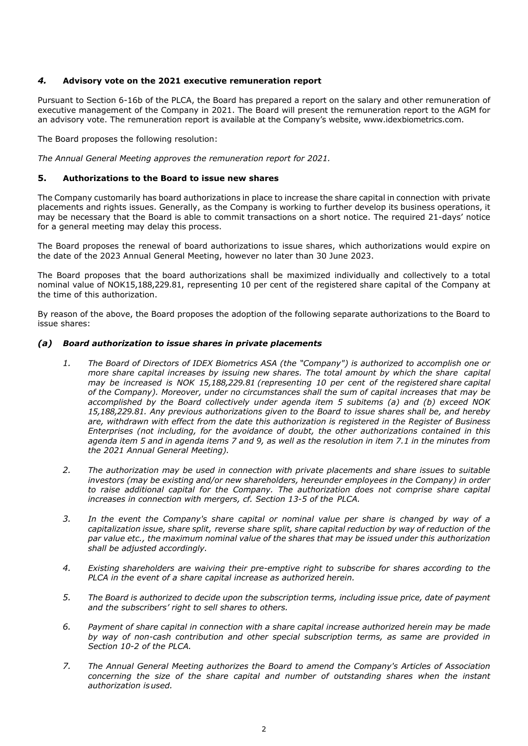#### *4.* **Advisory vote on the 2021 executive remuneration report**

Pursuant to Section 6-16b of the PLCA, the Board has prepared a report on the salary and other remuneration of executive management of the Company in 2021. The Board will present the remuneration report to the AGM for an advisory vote. The remuneration report is available at the Company's website, www.idexbiometrics.com.

The Board proposes the following resolution:

*The Annual General Meeting approves the remuneration report for 2021.* 

# **5. Authorizations to the Board to issue new shares**

The Company customarily has board authorizations in place to increase the share capital in connection with private placements and rights issues. Generally, as the Company is working to further develop its business operations, it may be necessary that the Board is able to commit transactions on a short notice. The required 21-days' notice for a general meeting may delay this process.

The Board proposes the renewal of board authorizations to issue shares, which authorizations would expire on the date of the 2023 Annual General Meeting, however no later than 30 June 2023.

The Board proposes that the board authorizations shall be maximized individually and collectively to a total nominal value of NOK15,188,229.81, representing 10 per cent of the registered share capital of the Company at the time of this authorization.

By reason of the above, the Board proposes the adoption of the following separate authorizations to the Board to issue shares:

#### *(a) Board authorization to issue shares in private placements*

- *1. The Board of Directors of IDEX Biometrics ASA (the "Company") is authorized to accomplish one or more share capital increases by issuing new shares. The total amount by which the share capital may be increased is NOK 15,188,229.81 (representing 10 per cent of the registered share capital of the Company). Moreover, under no circumstances shall the sum of capital increases that may be accomplished by the Board collectively under agenda item 5 subitems (a) and (b) exceed NOK 15,188,229.81. Any previous authorizations given to the Board to issue shares shall be, and hereby are, withdrawn with effect from the date this authorization is registered in the Register of Business Enterprises (not including, for the avoidance of doubt, the other authorizations contained in this agenda item 5 and in agenda items 7 and 9, as well as the resolution in item 7.1 in the minutes from the 2021 Annual General Meeting).*
- *2. The authorization may be used in connection with private placements and share issues to suitable investors (may be existing and/or new shareholders, hereunder employees in the Company) in order to raise additional capital for the Company. The authorization does not comprise share capital increases in connection with mergers, cf. Section 13-5 of the PLCA.*
- *3. In the event the Company's share capital or nominal value per share is changed by way of a capitalization issue, share split, reverse share split, share capital reduction by way of reduction of the par value etc., the maximum nominal value of the shares that may be issued under this authorization shall be adjusted accordingly.*
- *4. Existing shareholders are waiving their pre-emptive right to subscribe for shares according to the PLCA in the event of a share capital increase as authorized herein.*
- *5. The Board is authorized to decide upon the subscription terms, including issue price, date of payment and the subscribers' right to sell shares to others.*
- *6. Payment of share capital in connection with a share capital increase authorized herein may be made by way of non-cash contribution and other special subscription terms, as same are provided in Section 10-2 of the PLCA.*
- *7. The Annual General Meeting authorizes the Board to amend the Company's Articles of Association concerning the size of the share capital and number of outstanding shares when the instant authorization is used.*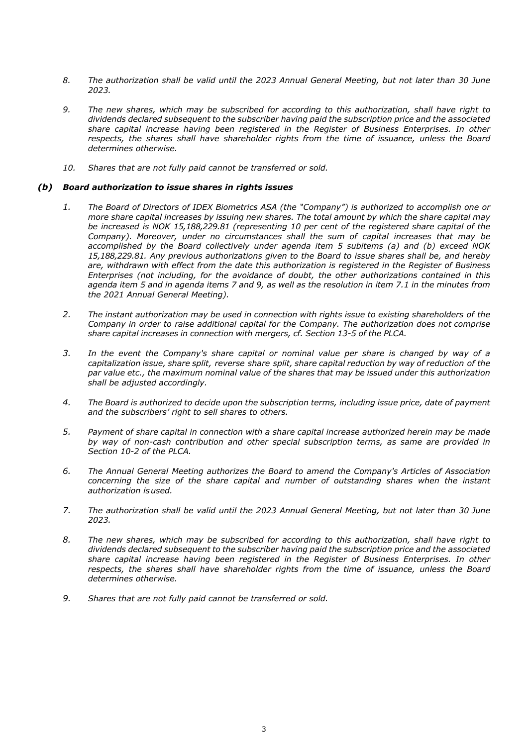- *8. The authorization shall be valid until the 2023 Annual General Meeting, but not later than 30 June 2023.*
- *9. The new shares, which may be subscribed for according to this authorization, shall have right to dividends declared subsequent to the subscriber having paid the subscription price and the associated share capital increase having been registered in the Register of Business Enterprises. In other respects, the shares shall have shareholder rights from the time of issuance, unless the Board determines otherwise.*
- *10. Shares that are not fully paid cannot be transferred or sold.*

#### *(b) Board authorization to issue shares in rights issues*

- *1. The Board of Directors of IDEX Biometrics ASA (the "Company") is authorized to accomplish one or more share capital increases by issuing new shares. The total amount by which the share capital may be increased is NOK 15,188,229.81 (representing 10 per cent of the registered share capital of the Company). Moreover, under no circumstances shall the sum of capital increases that may be accomplished by the Board collectively under agenda item 5 subitems (a) and (b) exceed NOK 15,188,229.81. Any previous authorizations given to the Board to issue shares shall be, and hereby are, withdrawn with effect from the date this authorization is registered in the Register of Business Enterprises (not including, for the avoidance of doubt, the other authorizations contained in this agenda item 5 and in agenda items 7 and 9, as well as the resolution in item 7.1 in the minutes from the 2021 Annual General Meeting).*
- *2. The instant authorization may be used in connection with rights issue to existing shareholders of the Company in order to raise additional capital for the Company. The authorization does not comprise share capital increases in connection with mergers, cf. Section 13-5 of the PLCA.*
- *3. In the event the Company's share capital or nominal value per share is changed by way of a capitalization issue, share split, reverse share split, share capital reduction by way of reduction of the par value etc., the maximum nominal value of the shares that may be issued under this authorization shall be adjusted accordingly.*
- *4. The Board is authorized to decide upon the subscription terms, including issue price, date of payment and the subscribers' right to sell shares to others.*
- *5. Payment of share capital in connection with a share capital increase authorized herein may be made by way of non-cash contribution and other special subscription terms, as same are provided in Section 10-2 of the PLCA.*
- *6. The Annual General Meeting authorizes the Board to amend the Company's Articles of Association concerning the size of the share capital and number of outstanding shares when the instant authorization is used.*
- *7. The authorization shall be valid until the 2023 Annual General Meeting, but not later than 30 June 2023.*
- *8. The new shares, which may be subscribed for according to this authorization, shall have right to dividends declared subsequent to the subscriber having paid the subscription price and the associated share capital increase having been registered in the Register of Business Enterprises. In other respects, the shares shall have shareholder rights from the time of issuance, unless the Board determines otherwise.*
- *9. Shares that are not fully paid cannot be transferred or sold.*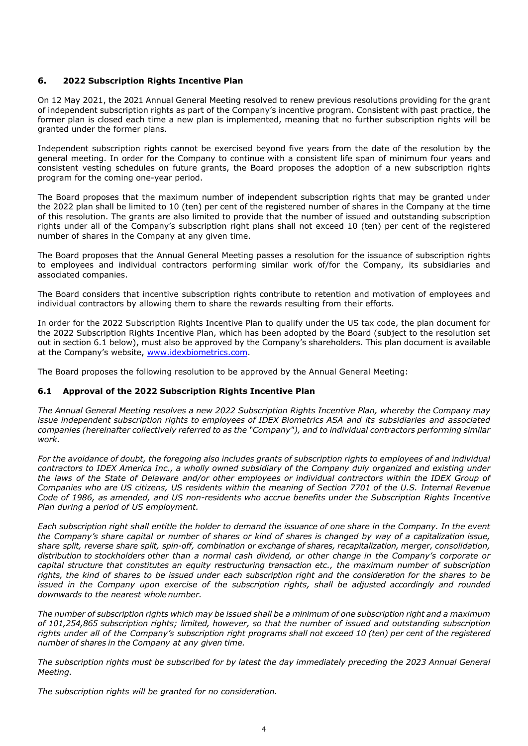# **6. 2022 Subscription Rights Incentive Plan**

On 12 May 2021, the 2021 Annual General Meeting resolved to renew previous resolutions providing for the grant of independent subscription rights as part of the Company's incentive program. Consistent with past practice, the former plan is closed each time a new plan is implemented, meaning that no further subscription rights will be granted under the former plans.

Independent subscription rights cannot be exercised beyond five years from the date of the resolution by the general meeting. In order for the Company to continue with a consistent life span of minimum four years and consistent vesting schedules on future grants, the Board proposes the adoption of a new subscription rights program for the coming one-year period.

The Board proposes that the maximum number of independent subscription rights that may be granted under the 2022 plan shall be limited to 10 (ten) per cent of the registered number of shares in the Company at the time of this resolution. The grants are also limited to provide that the number of issued and outstanding subscription rights under all of the Company's subscription right plans shall not exceed 10 (ten) per cent of the registered number of shares in the Company at any given time.

The Board proposes that the Annual General Meeting passes a resolution for the issuance of subscription rights to employees and individual contractors performing similar work of/for the Company, its subsidiaries and associated companies.

The Board considers that incentive subscription rights contribute to retention and motivation of employees and individual contractors by allowing them to share the rewards resulting from their efforts.

In order for the 2022 Subscription Rights Incentive Plan to qualify under the US tax code, the plan document for the 2022 Subscription Rights Incentive Plan, which has been adopted by the Board (subject to the resolution set out in section 6.1 below), must also be approved by the Company's shareholders. This plan document is available at the Company's website, www.idexbiometrics.com.

The Board proposes the following resolution to be approved by the Annual General Meeting:

#### **6.1 Approval of the 2022 Subscription Rights Incentive Plan**

*The Annual General Meeting resolves a new 2022 Subscription Rights Incentive Plan, whereby the Company may issue independent subscription rights to employees of IDEX Biometrics ASA and its subsidiaries and associated companies (hereinafter collectively referred to as the "Company"), and to individual contractors performing similar work.* 

*For the avoidance of doubt, the foregoing also includes grants of subscription rights to employees of and individual contractors to IDEX America Inc., a wholly owned subsidiary of the Company duly organized and existing under the laws of the State of Delaware and/or other employees or individual contractors within the IDEX Group of Companies who are US citizens, US residents within the meaning of Section 7701 of the U.S. Internal Revenue Code of 1986, as amended, and US non-residents who accrue benefits under the Subscription Rights Incentive Plan during a period of US employment.* 

*Each subscription right shall entitle the holder to demand the issuance of one share in the Company. In the event the Company's share capital or number of shares or kind of shares is changed by way of a capitalization issue, share split, reverse share split, spin-off, combination or exchange of shares, recapitalization, merger, consolidation, distribution to stockholders other than a normal cash dividend, or other change in the Company's corporate or capital structure that constitutes an equity restructuring transaction etc., the maximum number of subscription rights, the kind of shares to be issued under each subscription right and the consideration for the shares to be issued in the Company upon exercise of the subscription rights, shall be adjusted accordingly and rounded downwards to the nearest whole number.* 

*The number of subscription rights which may be issued shall be a minimum of one subscription right and a maximum of 101,254,865 subscription rights; limited, however, so that the number of issued and outstanding subscription rights under all of the Company's subscription right programs shall not exceed 10 (ten) per cent of the registered number of shares in the Company at any given time.* 

*The subscription rights must be subscribed for by latest the day immediately preceding the 2023 Annual General Meeting.* 

*The subscription rights will be granted for no consideration.*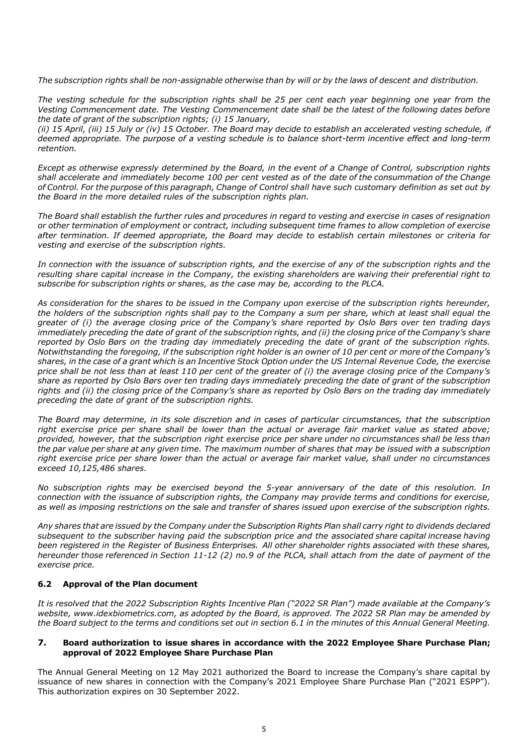*The subscription rights shall be non-assignable otherwise than by will or by the laws of descent and distribution.* 

*The vesting schedule for the subscription rights shall be 25 per cent each year beginning one year from the Vesting Commencement date. The Vesting Commencement date shall be the latest of the following dates before the date of grant of the subscription rights; (i) 15 January,* 

*(ii) 15 April, (iii) 15 July or (iv) 15 October. The Board may decide to establish an accelerated vesting schedule, if deemed appropriate. The purpose of a vesting schedule is to balance short-term incentive effect and long-term retention.* 

*Except as otherwise expressly determined by the Board, in the event of a Change of Control, subscription rights shall accelerate and immediately become 100 per cent vested as of the date of the consummation of the Change of Control. For the purpose of this paragraph, Change of Control shall have such customary definition as set out by the Board in the more detailed rules of the subscription rights plan.* 

*The Board shall establish the further rules and procedures in regard to vesting and exercise in cases of resignation or other termination of employment or contract, including subsequent time frames to allow completion of exercise after termination. If deemed appropriate, the Board may decide to establish certain milestones or criteria for vesting and exercise of the subscription rights.* 

*In connection with the issuance of subscription rights, and the exercise of any of the subscription rights and the resulting share capital increase in the Company, the existing shareholders are waiving their preferential right to subscribe for subscription rights or shares, as the case may be, according to the PLCA.*

*As consideration for the shares to be issued in the Company upon exercise of the subscription rights hereunder, the holders of the subscription rights shall pay to the Company a sum per share, which at least shall equal the greater of (i) the average closing price of the Company's share reported by Oslo Børs over ten trading days immediately preceding the date of grant of the subscription rights, and (ii) the closing price of the Company's share reported by Oslo Børs on the trading day immediately preceding the date of grant of the subscription rights. Notwithstanding the foregoing, if the subscription right holder is an owner of 10 per cent or more of the Company's shares, in the case of a grant which is an Incentive Stock Option under the US Internal Revenue Code, the exercise price shall be not less than at least 110 per cent of the greater of (i) the average closing price of the Company's share as reported by Oslo Børs over ten trading days immediately preceding the date of grant of the subscription rights and (ii) the closing price of the Company's share as reported by Oslo Børs on the trading day immediately preceding the date of grant of the subscription rights.* 

*The Board may determine, in its sole discretion and in cases of particular circumstances, that the subscription right exercise price per share shall be lower than the actual or average fair market value as stated above; provided, however, that the subscription right exercise price per share under no circumstances shall be less than the par value per share at any given time. The maximum number of shares that may be issued with a subscription right exercise price per share lower than the actual or average fair market value, shall under no circumstances exceed 10,125,486 shares.* 

*No subscription rights may be exercised beyond the 5-year anniversary of the date of this resolution. In connection with the issuance of subscription rights, the Company may provide terms and conditions for exercise, as well as imposing restrictions on the sale and transfer of shares issued upon exercise of the subscription rights.* 

*Any shares that are issued by the Company under the Subscription Rights Plan shall carry right to dividends declared subsequent to the subscriber having paid the subscription price and the associated share capital increase having been registered in the Register of Business Enterprises. All other shareholder rights associated with these shares, hereunder those referenced in Section 11-12 (2) no.9 of the PLCA, shall attach from the date of payment of the exercise price.* 

# **6.2 Approval of the Plan document**

*It is resolved that the 2022 Subscription Rights Incentive Plan ("2022 SR Plan") made available at the Company's website, www.idexbiometrics.com, as adopted by the Board, is approved. The 2022 SR Plan may be amended by the Board subject to the terms and conditions set out in section 6.1 in the minutes of this Annual General Meeting.* 

#### **7. Board authorization to issue shares in accordance with the 2022 Employee Share Purchase Plan; approval of 2022 Employee Share Purchase Plan**

The Annual General Meeting on 12 May 2021 authorized the Board to increase the Company's share capital by issuance of new shares in connection with the Company's 2021 Employee Share Purchase Plan ("2021 ESPP"). This authorization expires on 30 September 2022.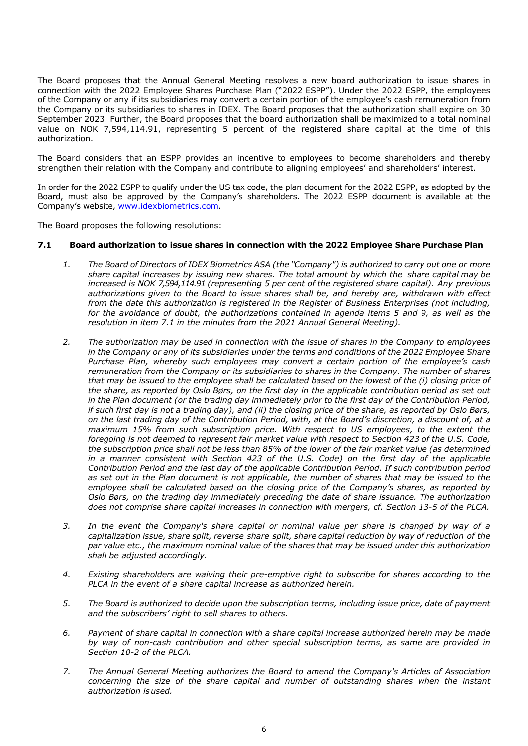The Board proposes that the Annual General Meeting resolves a new board authorization to issue shares in connection with the 2022 Employee Shares Purchase Plan ("2022 ESPP"). Under the 2022 ESPP, the employees of the Company or any if its subsidiaries may convert a certain portion of the employee's cash remuneration from the Company or its subsidiaries to shares in IDEX. The Board proposes that the authorization shall expire on 30 September 2023. Further, the Board proposes that the board authorization shall be maximized to a total nominal value on NOK 7,594,114.91, representing 5 percent of the registered share capital at the time of this authorization.

The Board considers that an ESPP provides an incentive to employees to become shareholders and thereby strengthen their relation with the Company and contribute to aligning employees' and shareholders' interest.

In order for the 2022 ESPP to qualify under the US tax code, the plan document for the 2022 ESPP, as adopted by the Board, must also be approved by the Company's shareholders. The 2022 ESPP document is available at the Company's website, www.idexbiometrics.com.

The Board proposes the following resolutions:

#### **7.1 Board authorization to issue shares in connection with the 2022 Employee Share Purchase Plan**

- *1. The Board of Directors of IDEX Biometrics ASA (the "Company") is authorized to carry out one or more share capital increases by issuing new shares. The total amount by which the share capital may be increased is NOK 7,594,114.91 (representing 5 per cent of the registered share capital). Any previous authorizations given to the Board to issue shares shall be, and hereby are, withdrawn with effect from the date this authorization is registered in the Register of Business Enterprises (not including, for the avoidance of doubt, the authorizations contained in agenda items 5 and 9, as well as the resolution in item 7.1 in the minutes from the 2021 Annual General Meeting).*
- *2. The authorization may be used in connection with the issue of shares in the Company to employees in the Company or any of its subsidiaries under the terms and conditions of the 2022 Employee Share Purchase Plan, whereby such employees may convert a certain portion of the employee's cash remuneration from the Company or its subsidiaries to shares in the Company. The number of shares that may be issued to the employee shall be calculated based on the lowest of the (i) closing price of the share, as reported by Oslo Børs, on the first day in the applicable contribution period as set out in the Plan document (or the trading day immediately prior to the first day of the Contribution Period, if such first day is not a trading day), and (ii) the closing price of the share, as reported by Oslo Børs, on the last trading day of the Contribution Period, with, at the Board's discretion, a discount of, at a maximum 15% from such subscription price. With respect to US employees, to the extent the foregoing is not deemed to represent fair market value with respect to Section 423 of the U.S. Code, the subscription price shall not be less than 85% of the lower of the fair market value (as determined in a manner consistent with Section 423 of the U.S. Code) on the first day of the applicable Contribution Period and the last day of the applicable Contribution Period. If such contribution period as set out in the Plan document is not applicable, the number of shares that may be issued to the employee shall be calculated based on the closing price of the Company's shares, as reported by Oslo Børs, on the trading day immediately preceding the date of share issuance. The authorization does not comprise share capital increases in connection with mergers, cf. Section 13-5 of the PLCA.*
- *3. In the event the Company's share capital or nominal value per share is changed by way of a capitalization issue, share split, reverse share split, share capital reduction by way of reduction of the par value etc., the maximum nominal value of the shares that may be issued under this authorization shall be adjusted accordingly.*
- *4. Existing shareholders are waiving their pre-emptive right to subscribe for shares according to the PLCA in the event of a share capital increase as authorized herein.*
- *5. The Board is authorized to decide upon the subscription terms, including issue price, date of payment and the subscribers' right to sell shares to others.*
- *6. Payment of share capital in connection with a share capital increase authorized herein may be made by way of non-cash contribution and other special subscription terms, as same are provided in Section 10-2 of the PLCA.*
- *7. The Annual General Meeting authorizes the Board to amend the Company's Articles of Association concerning the size of the share capital and number of outstanding shares when the instant authorization is used.*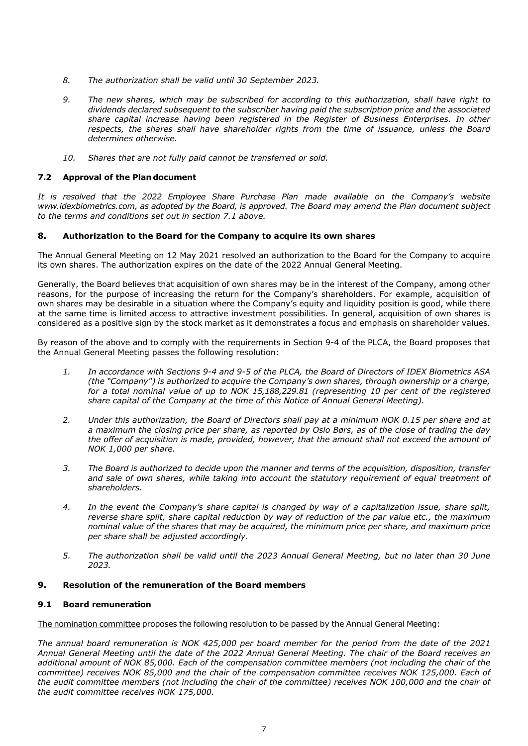- *8. The authorization shall be valid until 30 September 2023.*
- *9. The new shares, which may be subscribed for according to this authorization, shall have right to dividends declared subsequent to the subscriber having paid the subscription price and the associated share capital increase having been registered in the Register of Business Enterprises. In other respects, the shares shall have shareholder rights from the time of issuance, unless the Board determines otherwise.*
- *10. Shares that are not fully paid cannot be transferred or sold.*

#### **7.2 Approval of the Plan document**

*It is resolved that the 2022 Employee Share Purchase Plan made available on the Company's website www.idexbiometrics.com, as adopted by the Board, is approved. The Board may amend the Plan document subject to the terms and conditions set out in section 7.1 above.*

#### **8. Authorization to the Board for the Company to acquire its own shares**

The Annual General Meeting on 12 May 2021 resolved an authorization to the Board for the Company to acquire its own shares. The authorization expires on the date of the 2022 Annual General Meeting.

Generally, the Board believes that acquisition of own shares may be in the interest of the Company, among other reasons, for the purpose of increasing the return for the Company's shareholders. For example, acquisition of own shares may be desirable in a situation where the Company's equity and liquidity position is good, while there at the same time is limited access to attractive investment possibilities. In general, acquisition of own shares is considered as a positive sign by the stock market as it demonstrates a focus and emphasis on shareholder values.

By reason of the above and to comply with the requirements in Section 9-4 of the PLCA, the Board proposes that the Annual General Meeting passes the following resolution:

- *1. In accordance with Sections 9-4 and 9-5 of the PLCA, the Board of Directors of IDEX Biometrics ASA (the "Company") is authorized to acquire the Company's own shares, through ownership or a charge, for a total nominal value of up to NOK 15,188,229.81 (representing 10 per cent of the registered share capital of the Company at the time of this Notice of Annual General Meeting).*
- *2. Under this authorization, the Board of Directors shall pay at a minimum NOK 0.15 per share and at a maximum the closing price per share, as reported by Oslo Børs, as of the close of trading the day the offer of acquisition is made, provided, however, that the amount shall not exceed the amount of NOK 1,000 per share.*
- *3. The Board is authorized to decide upon the manner and terms of the acquisition, disposition, transfer*  and sale of own shares, while taking into account the statutory requirement of equal treatment of *shareholders.*
- *4. In the event the Company's share capital is changed by way of a capitalization issue, share split, reverse share split, share capital reduction by way of reduction of the par value etc., the maximum nominal value of the shares that may be acquired, the minimum price per share, and maximum price per share shall be adjusted accordingly.*
- *5. The authorization shall be valid until the 2023 Annual General Meeting, but no later than 30 June 2023.*

#### **9. Resolution of the remuneration of the Board members**

#### **9.1 Board remuneration**

The nomination committee proposes the following resolution to be passed by the Annual General Meeting:

*The annual board remuneration is NOK 425,000 per board member for the period from the date of the 2021 Annual General Meeting until the date of the 2022 Annual General Meeting. The chair of the Board receives an additional amount of NOK 85,000. Each of the compensation committee members (not including the chair of the committee) receives NOK 85,000 and the chair of the compensation committee receives NOK 125,000. Each of the audit committee members (not including the chair of the committee) receives NOK 100,000 and the chair of the audit committee receives NOK 175,000.*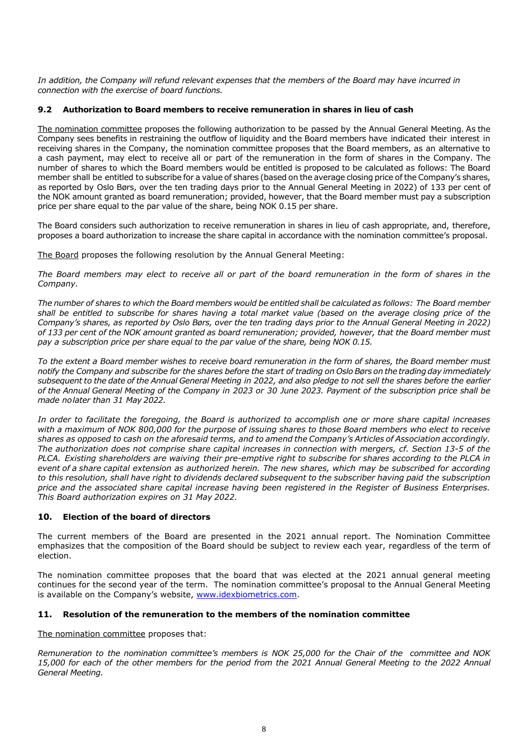*In addition, the Company will refund relevant expenses that the members of the Board may have incurred in connection with the exercise of board functions.* 

# **9.2 Authorization to Board members to receive remuneration in shares in lieu of cash**

The nomination committee proposes the following authorization to be passed by the Annual General Meeting. As the Company sees benefits in restraining the outflow of liquidity and the Board members have indicated their interest in receiving shares in the Company, the nomination committee proposes that the Board members, as an alternative to a cash payment, may elect to receive all or part of the remuneration in the form of shares in the Company. The number of shares to which the Board members would be entitled is proposed to be calculated as follows: The Board member shall be entitled to subscribe for a value of shares (based on the average closing price of the Company's shares, as reported by Oslo Børs, over the ten trading days prior to the Annual General Meeting in 2022) of 133 per cent of the NOK amount granted as board remuneration; provided, however, that the Board member must pay a subscription price per share equal to the par value of the share, being NOK 0.15 per share.

The Board considers such authorization to receive remuneration in shares in lieu of cash appropriate, and, therefore, proposes a board authorization to increase the share capital in accordance with the nomination committee's proposal.

The Board proposes the following resolution by the Annual General Meeting:

*The Board members may elect to receive all or part of the board remuneration in the form of shares in the Company.* 

*The number of shares to which the Board members would be entitled shall be calculated as follows: The Board member shall be entitled to subscribe for shares having a total market value (based on the average closing price of the Company's shares, as reported by Oslo Børs, over the ten trading days prior to the Annual General Meeting in 2022) of 133 per cent of the NOK amount granted as board remuneration; provided, however, that the Board member must pay a subscription price per share equal to the par value of the share, being NOK 0.15.* 

*To the extent a Board member wishes to receive board remuneration in the form of shares, the Board member must notify the Company and subscribe for the shares before the start of trading on Oslo Børs on the trading day immediately subsequent to the date of the Annual General Meeting in 2022, and also pledge to not sell the shares before the earlier of the Annual General Meeting of the Company in 2023 or 30 June 2023. Payment of the subscription price shall be made no later than 31 May 2022.* 

*In order to facilitate the foregoing, the Board is authorized to accomplish one or more share capital increases with a maximum of NOK 800,000 for the purpose of issuing shares to those Board members who elect to receive shares as opposed to cash on the aforesaid terms, and to amend the Company's Articles of Association accordingly. The authorization does not comprise share capital increases in connection with mergers, cf. Section 13-5 of the PLCA. Existing shareholders are waiving their pre-emptive right to subscribe for shares according to the PLCA in event of a share capital extension as authorized herein. The new shares, which may be subscribed for according to this resolution, shall have right to dividends declared subsequent to the subscriber having paid the subscription price and the associated share capital increase having been registered in the Register of Business Enterprises. This Board authorization expires on 31 May 2022.* 

# **10. Election of the board of directors**

The current members of the Board are presented in the 2021 annual report. The Nomination Committee emphasizes that the composition of the Board should be subject to review each year, regardless of the term of election.

The nomination committee proposes that the board that was elected at the 2021 annual general meeting continues for the second year of the term. The nomination committee's proposal to the Annual General Meeting is available on the Company's website, www.idexbiometrics.com.

# **11. Resolution of the remuneration to the members of the nomination committee**

The nomination committee proposes that:

*Remuneration to the nomination committee's members is NOK 25,000 for the Chair of the committee and NOK 15,000 for each of the other members for the period from the 2021 Annual General Meeting to the 2022 Annual General Meeting.*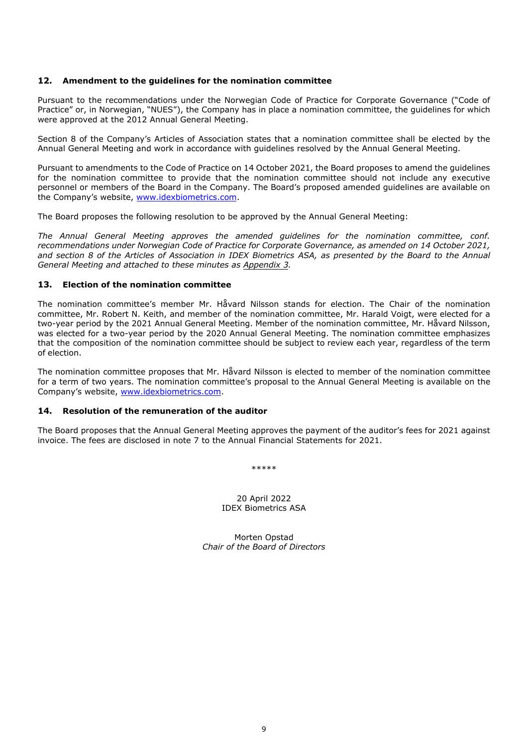#### **12. Amendment to the guidelines for the nomination committee**

Pursuant to the recommendations under the Norwegian Code of Practice for Corporate Governance ("Code of Practice" or, in Norwegian, "NUES"), the Company has in place a nomination committee, the guidelines for which were approved at the 2012 Annual General Meeting.

Section 8 of the Company's Articles of Association states that a nomination committee shall be elected by the Annual General Meeting and work in accordance with guidelines resolved by the Annual General Meeting.

Pursuant to amendments to the Code of Practice on 14 October 2021, the Board proposes to amend the guidelines for the nomination committee to provide that the nomination committee should not include any executive personnel or members of the Board in the Company. The Board's proposed amended guidelines are available on the Company's website, www.idexbiometrics.com.

The Board proposes the following resolution to be approved by the Annual General Meeting:

*The Annual General Meeting approves the amended guidelines for the nomination committee, conf. recommendations under Norwegian Code of Practice for Corporate Governance, as amended on 14 October 2021, and section 8 of the Articles of Association in IDEX Biometrics ASA, as presented by the Board to the Annual General Meeting and attached to these minutes as Appendix 3.* 

#### **13. Election of the nomination committee**

The nomination committee's member Mr. Håvard Nilsson stands for election. The Chair of the nomination committee, Mr. Robert N. Keith, and member of the nomination committee, Mr. Harald Voigt, were elected for a two-year period by the 2021 Annual General Meeting. Member of the nomination committee, Mr. Håvard Nilsson, was elected for a two-year period by the 2020 Annual General Meeting. The nomination committee emphasizes that the composition of the nomination committee should be subject to review each year, regardless of the term of election.

The nomination committee proposes that Mr. Håvard Nilsson is elected to member of the nomination committee for a term of two years. The nomination committee's proposal to the Annual General Meeting is available on the Company's website, www.idexbiometrics.com.

#### **14. Resolution of the remuneration of the auditor**

The Board proposes that the Annual General Meeting approves the payment of the auditor's fees for 2021 against invoice. The fees are disclosed in note 7 to the Annual Financial Statements for 2021.

\*\*\*\*\*

20 April 2022 IDEX Biometrics ASA

Morten Opstad *Chair of the Board of Directors*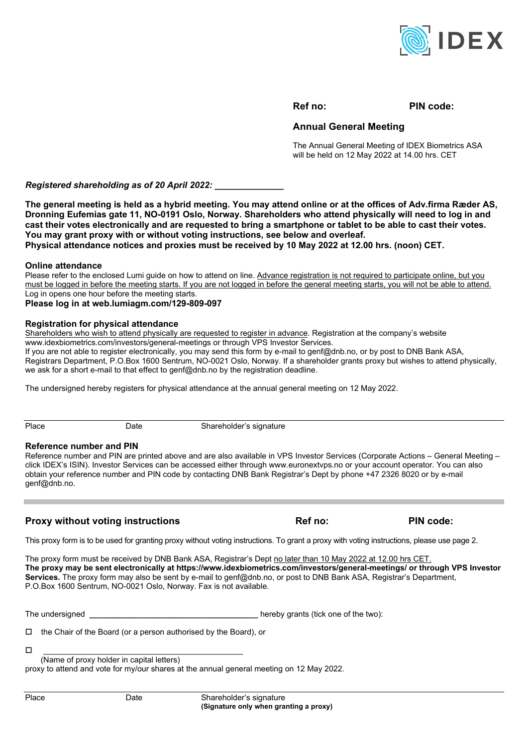

# **Ref no: PIN code:**

# **Annual General Meeting**

The Annual General Meeting of IDEX Biometrics ASA will be held on 12 May 2022 at 14.00 hrs. CET

*Registered shareholding as of 20 April 2022: \_\_\_\_\_\_\_\_\_\_\_\_\_\_* 

**The general meeting is held as a hybrid meeting. You may attend online or at the offices of Adv.firma Ræder AS, Dronning Eufemias gate 11, NO-0191 Oslo, Norway. Shareholders who attend physically will need to log in and cast their votes electronically and are requested to bring a smartphone or tablet to be able to cast their votes. You may grant proxy with or without voting instructions, see below and overleaf. Physical attendance notices and proxies must be received by 10 May 2022 at 12.00 hrs. (noon) CET.** 

#### **Online attendance**

Please refer to the enclosed Lumi guide on how to attend on line. Advance registration is not required to participate online, but you must be logged in before the meeting starts. If you are not logged in before the general meeting starts, you will not be able to attend. Log in opens one hour before the meeting starts.

**Please log in at web.lumiagm.com/129-809-097** 

#### **Registration for physical attendance**

Shareholders who wish to attend physically are requested to register in advance. Registration at the company's website www.idexbiometrics.com/investors/general-meetings or through VPS Investor Services.

If you are not able to register electronically, you may send this form by e-mail to genf@dnb.no, or by post to DNB Bank ASA, Registrars Department, P.O.Box 1600 Sentrum, NO-0021 Oslo, Norway. If a shareholder grants proxy but wishes to attend physically, we ask for a short e-mail to that effect to genf@dnb.no by the registration deadline.

The undersigned hereby registers for physical attendance at the annual general meeting on 12 May 2022.

Place Date Date Shareholder's signature

#### **Reference number and PIN**

Reference number and PIN are printed above and are also available in VPS Investor Services (Corporate Actions – General Meeting – click IDEX's ISIN). Investor Services can be accessed either through www.euronextvps.no or your account operator. You can also obtain your reference number and PIN code by contacting DNB Bank Registrar's Dept by phone +47 2326 8020 or by e-mail genf@dnb.no.

# **Proxy without voting instructions Ref no:** PIN code:

This proxy form is to be used for granting proxy without voting instructions. To grant a proxy with voting instructions, please use page 2.

The proxy form must be received by DNB Bank ASA, Registrar's Dept no later than 10 May 2022 at 12.00 hrs CET. **The proxy may be sent electronically at https://www.idexbiometrics.com/investors/general-meetings/ or through VPS Investor Services.** The proxy form may also be sent by e-mail to genf@dnb.no, or post to DNB Bank ASA, Registrar's Department, P.O.Box 1600 Sentrum, NO-0021 Oslo, Norway. Fax is not available.

The undersigned **\_\_\_\_\_\_\_\_\_\_\_\_\_\_\_\_\_\_\_\_\_\_\_\_\_\_\_\_\_\_\_\_\_\_\_\_\_\_** hereby grants (tick one of the two):

 $\Box$  the Chair of the Board (or a person authorised by the Board), or

 \_\_\_\_\_\_\_\_\_\_\_\_\_\_\_\_\_\_\_\_\_\_\_\_\_\_\_\_\_\_\_\_\_\_\_\_\_\_\_\_\_\_\_\_\_ (Name of proxy holder in capital letters)

proxy to attend and vote for my/our shares at the annual general meeting on 12 May 2022.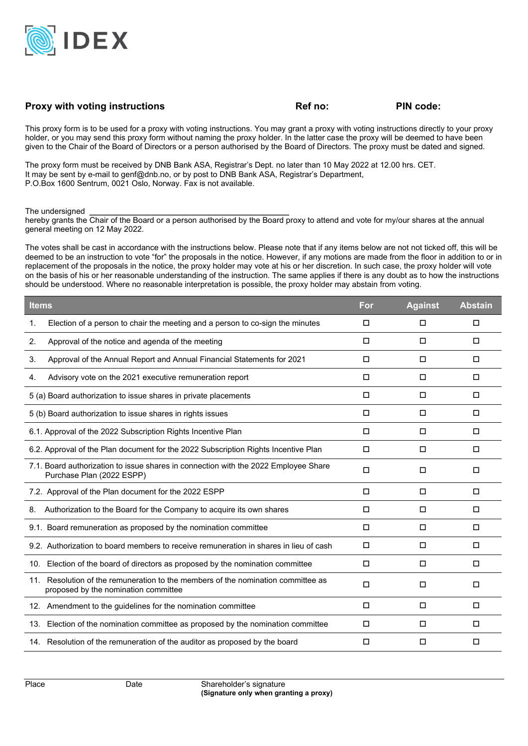

# **Proxy with voting instructions COV Ref no:** PIN code:

This proxy form is to be used for a proxy with voting instructions. You may grant a proxy with voting instructions directly to your proxy holder, or you may send this proxy form without naming the proxy holder. In the latter case the proxy will be deemed to have been given to the Chair of the Board of Directors or a person authorised by the Board of Directors. The proxy must be dated and signed.

The proxy form must be received by DNB Bank ASA, Registrar's Dept. no later than 10 May 2022 at 12.00 hrs. CET. It may be sent by e-mail to genf@dnb.no, or by post to DNB Bank ASA, Registrar's Department, P.O.Box 1600 Sentrum, 0021 Oslo, Norway. Fax is not available.

The undersigned **\_\_\_\_\_\_\_\_\_\_\_\_\_\_\_\_\_\_\_\_\_\_\_\_\_\_\_\_\_\_\_\_\_\_\_\_\_\_\_\_\_\_\_\_\_**

hereby grants the Chair of the Board or a person authorised by the Board proxy to attend and vote for my/our shares at the annual general meeting on 12 May 2022.

The votes shall be cast in accordance with the instructions below. Please note that if any items below are not not ticked off, this will be deemed to be an instruction to vote "for" the proposals in the notice. However, if any motions are made from the floor in addition to or in replacement of the proposals in the notice, the proxy holder may vote at his or her discretion. In such case, the proxy holder will vote on the basis of his or her reasonable understanding of the instruction. The same applies if there is any doubt as to how the instructions should be understood. Where no reasonable interpretation is possible, the proxy holder may abstain from voting.

| <b>Items</b>                                                                                                             | For    | <b>Against</b> | <b>Abstain</b> |
|--------------------------------------------------------------------------------------------------------------------------|--------|----------------|----------------|
| Election of a person to chair the meeting and a person to co-sign the minutes<br>1.                                      | □      | □              | □              |
| Approval of the notice and agenda of the meeting<br>2.                                                                   | □      | □              | □              |
| Approval of the Annual Report and Annual Financial Statements for 2021<br>3.                                             | $\Box$ | $\Box$         | $\Box$         |
| Advisory vote on the 2021 executive remuneration report<br>4.                                                            | □      | □              | □              |
| 5 (a) Board authorization to issue shares in private placements                                                          | □      | □              | □              |
| 5 (b) Board authorization to issue shares in rights issues                                                               | □      | □              | □              |
| 6.1. Approval of the 2022 Subscription Rights Incentive Plan                                                             | □      | □              | □              |
| 6.2. Approval of the Plan document for the 2022 Subscription Rights Incentive Plan                                       | □      | $\Box$         | □              |
| 7.1. Board authorization to issue shares in connection with the 2022 Employee Share<br>Purchase Plan (2022 ESPP)         | $\Box$ | $\Box$         | $\Box$         |
| 7.2. Approval of the Plan document for the 2022 ESPP                                                                     | $\Box$ | □              | □              |
| Authorization to the Board for the Company to acquire its own shares<br>8.                                               | П      | □              | П              |
| 9.1. Board remuneration as proposed by the nomination committee                                                          | $\Box$ | □              | □              |
| 9.2. Authorization to board members to receive remuneration in shares in lieu of cash                                    | $\Box$ | □              | □              |
| Election of the board of directors as proposed by the nomination committee<br>10.                                        | □      | □              | □              |
| 11. Resolution of the remuneration to the members of the nomination committee as<br>proposed by the nomination committee | П      | □              | □              |
| 12. Amendment to the guidelines for the nomination committee                                                             | $\Box$ | $\Box$         | $\Box$         |
| 13. Election of the nomination committee as proposed by the nomination committee                                         | □      | □              | □              |
| 14. Resolution of the remuneration of the auditor as proposed by the board                                               | □      | □              | □              |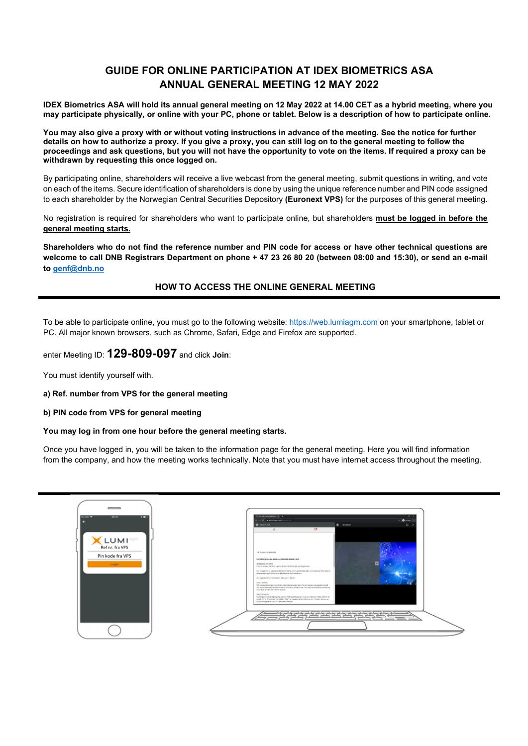# **GUIDE FOR ONLINE PARTICIPATION AT IDEX BIOMETRICS ASA ANNUAL GENERAL MEETING 12 MAY 2022**

**IDEX Biometrics ASA will hold its annual general meeting on 12 May 2022 at 14.00 CET as a hybrid meeting, where you may participate physically, or online with your PC, phone or tablet. Below is a description of how to participate online.** 

**You may also give a proxy with or without voting instructions in advance of the meeting. See the notice for further details on how to authorize a proxy. If you give a proxy, you can still log on to the general meeting to follow the proceedings and ask questions, but you will not have the opportunity to vote on the items. If required a proxy can be withdrawn by requesting this once logged on.** 

By participating online, shareholders will receive a live webcast from the general meeting, submit questions in writing, and vote on each of the items. Secure identification of shareholders is done by using the unique reference number and PIN code assigned to each shareholder by the Norwegian Central Securities Depository **(Euronext VPS)** for the purposes of this general meeting.

No registration is required for shareholders who want to participate online, but shareholders **must be logged in before the general meeting starts.** 

**Shareholders who do not find the reference number and PIN code for access or have other technical questions are welcome to call DNB Registrars Department on phone + 47 23 26 80 20 (between 08:00 and 15:30), or send an e-mail to genf@dnb.no** 

# **HOW TO ACCESS THE ONLINE GENERAL MEETING**

To be able to participate online, you must go to the following website: https://web.lumiagm.com on your smartphone, tablet or PC. All major known browsers, such as Chrome, Safari, Edge and Firefox are supported.

enter Meeting ID: **129-809-097** and click **Join**:

You must identify yourself with.

**a) Ref. number from VPS for the general meeting** 

#### **b) PIN code from VPS for general meeting**

#### **You may log in from one hour before the general meeting starts.**

Once you have logged in, you will be taken to the information page for the general meeting. Here you will find information from the company, and how the meeting works technically. Note that you must have internet access throughout the meeting.